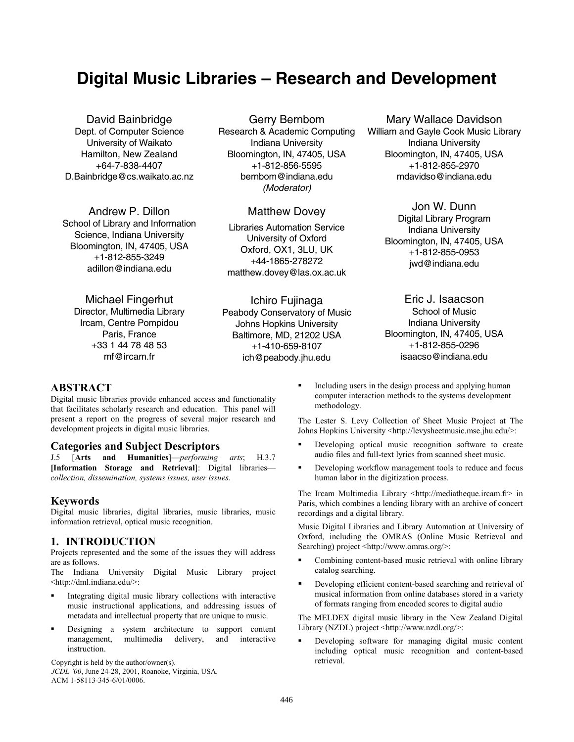# **Digital Music Libraries – Research and Development**

David Bainbridge Dept. of Computer Science University of Waikato Hamilton, New Zealand +64-7-838-4407 D.Bainbridge@cs.waikato.ac.nz

Andrew P. Dillon School of Library and Information Science, Indiana University Bloomington, IN, 47405, USA +1-812-855-3249 adillon@indiana.edu

Michael Fingerhut Director, Multimedia Library Ircam, Centre Pompidou Paris, France +33 1 44 78 48 53 mf@ircam.fr

Gerry Bernbom

Research & Academic Computing Indiana University Bloomington, IN, 47405, USA +1-812-856-5595 bernbom@indiana.edu *(Moderator)* 

## Matthew Dovey

Libraries Automation Service University of Oxford Oxford, OX1, 3LU, UK +44-1865-278272 matthew.dovey@las.ox.ac.uk

Ichiro Fujinaga Peabody Conservatory of Music Johns Hopkins University Baltimore, MD, 21202 USA +1-410-659-8107 ich@peabody.jhu.edu

Mary Wallace Davidson William and Gayle Cook Music Library Indiana University Bloomington, IN, 47405, USA +1-812-855-2970 mdavidso@indiana.edu

> Jon W. Dunn Digital Library Program Indiana University Bloomington, IN, 47405, USA +1-812-855-0953 jwd@indiana.edu

> Eric J. Isaacson School of Music Indiana University Bloomington, IN, 47405, USA +1-812-855-0296 isaacso@indiana.edu

#### **ABSTRACT**

Digital music libraries provide enhanced access and functionality that facilitates scholarly research and education. This panel will present a report on the progress of several major research and development projects in digital music libraries.

#### **Categories and Subject Descriptors**

J.5 [**Arts and Humanities**]—*performing arts*; H.3.7 **[Information Storage and Retrieval**]: Digital libraries *collection, dissemination, systems issues, user issues*.

## **Keywords**

Digital music libraries, digital libraries, music libraries, music information retrieval, optical music recognition.

#### **1. INTRODUCTION**

Projects represented and the some of the issues they will address are as follows.

The Indiana University Digital Music Library project <http://dml.indiana.edu/>:

- Integrating digital music library collections with interactive music instructional applications, and addressing issues of metadata and intellectual property that are unique to music.
- Designing a system architecture to support content management, multimedia delivery, and interactive instruction.

Copyright is held by the author/owner(s). The contract extended in the contract of the author/owner(s).

*JCDL '00*, June 24-28, 2001, Roanoke, Virginia, USA. ACM 1-58113-345-6/01/0006.

 Including users in the design process and applying human computer interaction methods to the systems development methodology.

The Lester S. Levy Collection of Sheet Music Project at The Johns Hopkins University <http://levysheetmusic.mse.jhu.edu/>:

- Developing optical music recognition software to create audio files and full-text lyrics from scanned sheet music.
- Developing workflow management tools to reduce and focus human labor in the digitization process.

The Ircam Multimedia Library <http://mediatheque.ircam.fr> in Paris, which combines a lending library with an archive of concert recordings and a digital library.

Music Digital Libraries and Library Automation at University of Oxford, including the OMRAS (Online Music Retrieval and Searching) project <http://www.omras.org/>:

- Combining content-based music retrieval with online library catalog searching.
- Developing efficient content-based searching and retrieval of musical information from online databases stored in a variety of formats ranging from encoded scores to digital audio

The MELDEX digital music library in the New Zealand Digital Library (NZDL) project <http://www.nzdl.org/>:

Developing software for managing digital music content including optical music recognition and content-based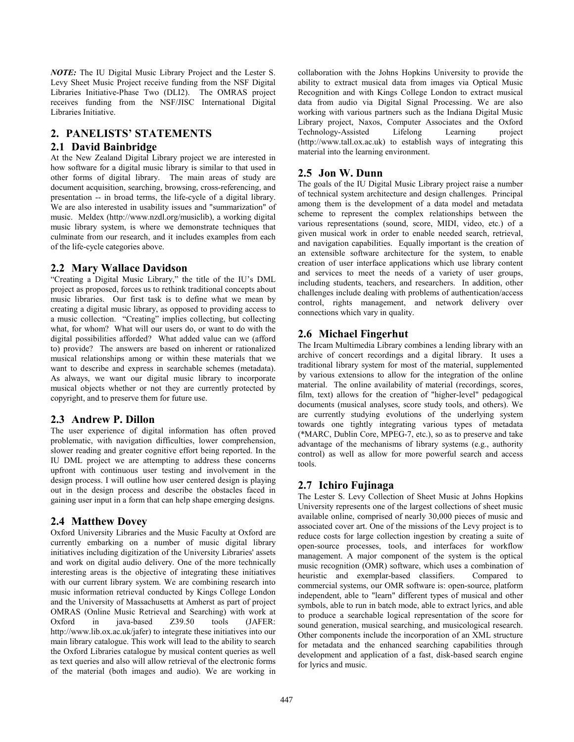*NOTE:* The IU Digital Music Library Project and the Lester S. Levy Sheet Music Project receive funding from the NSF Digital Libraries Initiative-Phase Two (DLI2). The OMRAS project receives funding from the NSF/JISC International Digital Libraries Initiative.

## **2. PANELISTS' STATEMENTS**

## **2.1 David Bainbridge**

At the New Zealand Digital Library project we are interested in how software for a digital music library is similar to that used in other forms of digital library. The main areas of study are document acquisition, searching, browsing, cross-referencing, and presentation -- in broad terms, the life-cycle of a digital library. We are also interested in usability issues and "summarization" of music. Meldex (http://www.nzdl.org/musiclib), a working digital music library system, is where we demonstrate techniques that culminate from our research, and it includes examples from each of the life-cycle categories above.

## **2.2 Mary Wallace Davidson**

"Creating a Digital Music Library," the title of the IU's DML project as proposed, forces us to rethink traditional concepts about music libraries. Our first task is to define what we mean by creating a digital music library, as opposed to providing access to a music collection. "Creating" implies collecting, but collecting what, for whom? What will our users do, or want to do with the digital possibilities afforded? What added value can we (afford to) provide? The answers are based on inherent or rationalized musical relationships among or within these materials that we want to describe and express in searchable schemes (metadata). As always, we want our digital music library to incorporate musical objects whether or not they are currently protected by copyright, and to preserve them for future use.

## **2.3 Andrew P. Dillon**

The user experience of digital information has often proved problematic, with navigation difficulties, lower comprehension, slower reading and greater cognitive effort being reported. In the IU DML project we are attempting to address these concerns upfront with continuous user testing and involvement in the design process. I will outline how user centered design is playing out in the design process and describe the obstacles faced in gaining user input in a form that can help shape emerging designs.

## **2.4 Matthew Dovey**

Oxford University Libraries and the Music Faculty at Oxford are currently embarking on a number of music digital library initiatives including digitization of the University Libraries' assets and work on digital audio delivery. One of the more technically interesting areas is the objective of integrating these initiatives with our current library system. We are combining research into music information retrieval conducted by Kings College London and the University of Massachusetts at Amherst as part of project OMRAS (Online Music Retrieval and Searching) with work at Oxford in java-based Z39.50 tools (JAFER: http://www.lib.ox.ac.uk/jafer) to integrate these initiatives into our main library catalogue. This work will lead to the ability to search the Oxford Libraries catalogue by musical content queries as well as text queries and also will allow retrieval of the electronic forms of the material (both images and audio). We are working in

collaboration with the Johns Hopkins University to provide the ability to extract musical data from images via Optical Music Recognition and with Kings College London to extract musical data from audio via Digital Signal Processing. We are also working with various partners such as the Indiana Digital Music Library project, Naxos, Computer Associates and the Oxford Technology-Assisted Lifelong Learning project (http://www.tall.ox.ac.uk) to establish ways of integrating this material into the learning environment.

# **2.5 Jon W. Dunn**

The goals of the IU Digital Music Library project raise a number of technical system architecture and design challenges. Principal among them is the development of a data model and metadata scheme to represent the complex relationships between the various representations (sound, score, MIDI, video, etc.) of a given musical work in order to enable needed search, retrieval, and navigation capabilities. Equally important is the creation of an extensible software architecture for the system, to enable creation of user interface applications which use library content and services to meet the needs of a variety of user groups, including students, teachers, and researchers. In addition, other challenges include dealing with problems of authentication/access control, rights management, and network delivery over connections which vary in quality.

# **2.6 Michael Fingerhut**

The Ircam Multimedia Library combines a lending library with an archive of concert recordings and a digital library. It uses a traditional library system for most of the material, supplemented by various extensions to allow for the integration of the online material. The online availability of material (recordings, scores, film, text) allows for the creation of "higher-level" pedagogical documents (musical analyses, score study tools, and others). We are currently studying evolutions of the underlying system towards one tightly integrating various types of metadata (\*MARC, Dublin Core, MPEG-7, etc.), so as to preserve and take advantage of the mechanisms of library systems (e.g., authority control) as well as allow for more powerful search and access tools.

# **2.7 Ichiro Fujinaga**

The Lester S. Levy Collection of Sheet Music at Johns Hopkins University represents one of the largest collections of sheet music available online, comprised of nearly 30,000 pieces of music and associated cover art. One of the missions of the Levy project is to reduce costs for large collection ingestion by creating a suite of open-source processes, tools, and interfaces for workflow management. A major component of the system is the optical music recognition (OMR) software, which uses a combination of heuristic and exemplar-based classifiers. Compared to commercial systems, our OMR software is: open-source, platform independent, able to "learn" different types of musical and other symbols, able to run in batch mode, able to extract lyrics, and able to produce a searchable logical representation of the score for sound generation, musical searching, and musicological research. Other components include the incorporation of an XML structure for metadata and the enhanced searching capabilities through development and application of a fast, disk-based search engine for lyrics and music.